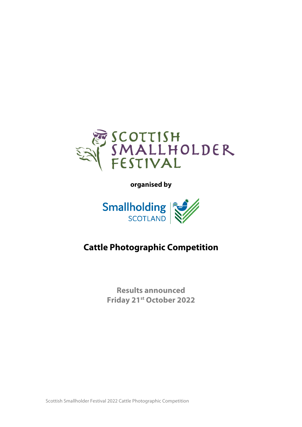

**organised by** 



# **Cattle Photographic Competition**

**Results announced Friday 21st October 2022**

Scottish Smallholder Festival 2022 Cattle Photographic Competition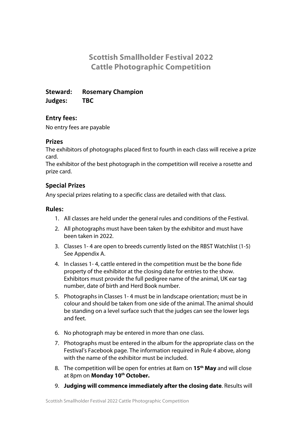## **Scottish Smallholder Festival 2022 Cattle Photographic Competition**

**Steward: Rosemary Champion Judges: TBC**

## **Entry fees:**

No entry fees are payable

## **Prizes**

The exhibitors of photographs placed first to fourth in each class will receive a prize card.

The exhibitor of the best photograph in the competition will receive a rosette and prize card.

## **Special Prizes**

Any special prizes relating to a specific class are detailed with that class.

## **Rules:**

- 1. All classes are held under the general rules and conditions of the Festival.
- 2. All photographs must have been taken by the exhibitor and must have been taken in 2022.
- 3. Classes 1- 4 are open to breeds currently listed on the RBST Watchlist (1-5) See Appendix A.
- 4. In classes 1- 4, cattle entered in the competition must be the bone fide property of the exhibitor at the closing date for entries to the show. Exhibitors must provide the full pedigree name of the animal, UK ear tag number, date of birth and Herd Book number.
- 5. Photographs in Classes 1- 4 must be in landscape orientation; must be in colour and should be taken from one side of the animal. The animal should be standing on a level surface such that the judges can see the lower legs and feet.
- 6. No photograph may be entered in more than one class.
- 7. Photographs must be entered in the album for the appropriate class on the Festival's Facebook page. The information required in Rule 4 above, along with the name of the exhibitor must be included.
- 8. The competition will be open for entries at 8am on **15th May** and will close at 8pm on **Monday 10th October.**
- 9. **Judging will commence immediately after the closing date**. Results will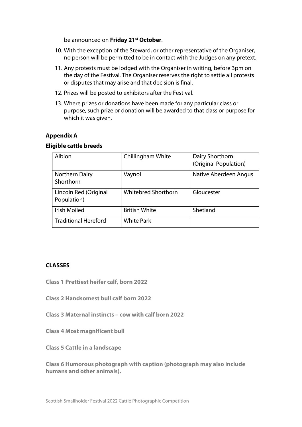be announced on **Friday 21st October**.

- 10. With the exception of the Steward, or other representative of the Organiser, no person will be permitted to be in contact with the Judges on any pretext.
- 11. Any protests must be lodged with the Organiser in writing, before 3pm on the day of the Festival. The Organiser reserves the right to settle all protests or disputes that may arise and that decision is final.
- 12. Prizes will be posted to exhibitors after the Festival.
- 13. Where prizes or donations have been made for any particular class or purpose, such prize or donation will be awarded to that class or purpose for which it was given.

#### **Appendix A**

#### **Eligible cattle breeds**

| Albion                               | Chillingham White          | Dairy Shorthorn<br>(Original Population) |
|--------------------------------------|----------------------------|------------------------------------------|
| Northern Dairy<br>Shorthorn          | Vaynol                     | Native Aberdeen Angus                    |
| Lincoln Red (Original<br>Population) | <b>Whitebred Shorthorn</b> | Gloucester                               |
| <b>Irish Moiled</b>                  | <b>British White</b>       | Shetland                                 |
| <b>Traditional Hereford</b>          | <b>White Park</b>          |                                          |

#### **CLASSES**

- **Class 1 Prettiest heifer calf, born 2022**
- **Class 2 Handsomest bull calf born 2022**
- **Class 3 Maternal instincts – cow with calf born 2022**
- **Class 4 Most magnificent bull**
- **Class 5 Cattle in a landscape**

**Class 6 Humorous photograph with caption (photograph may also include humans and other animals).**